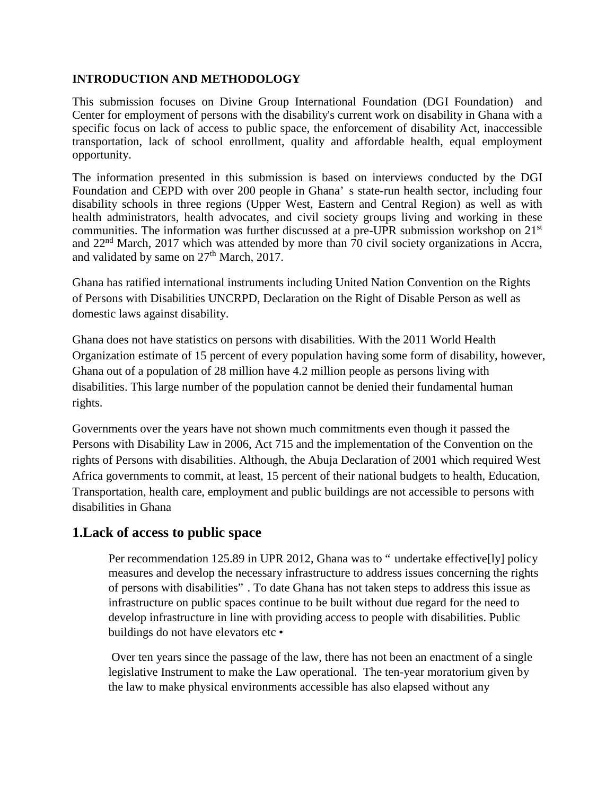#### **INTRODUCTION AND METHODOLOGY**

This submission focuses on Divine Group International Foundation (DGI Foundation) and Center for employment of persons with the disability's current work on disability in Ghana with a specific focus on lack of access to public space, the enforcement of disability Act, inaccessible transportation, lack of school enrollment, quality and affordable health, equal employment opportunity.

The information presented in this submission is based on interviews conducted by the DGI Foundation and CEPD with over 200 people in Ghana' s state-run health sector, including four disability schools in three regions (Upper West, Eastern and Central Region) as well as with health administrators, health advocates, and civil society groups living and working in these communities. The information was further discussed at a pre-UPR submission workshop on 21<sup>st</sup> and 22<sup>nd</sup> March, 2017 which was attended by more than 70 civil society organizations in Accra, and validated by same on  $27<sup>th</sup>$  March, 2017.

Ghana has ratified international instruments including United Nation Convention on the Rights of Persons with Disabilities UNCRPD, Declaration on the Right of Disable Person as well as domestic laws against disability.

Ghana does not have statistics on persons with disabilities. With the 2011 World Health Organization estimate of 15 percent of every population having some form of disability, however, Ghana out of a population of 28 million have 4.2 million people as persons living with disabilities. This large number of the population cannot be denied their fundamental human rights.

Governments over the years have not shown much commitments even though it passed the Persons with Disability Law in 2006, Act 715 and the implementation of the Convention on the rights of Persons with disabilities. Although, the Abuja Declaration of 2001 which required West Africa governments to commit, at least, 15 percent of their national budgets to health, Education, Transportation, health care, employment and public buildings are not accessible to persons with disabilities in Ghana

## **1.Lack of access to public space**

Per recommendation 125.89 in UPR 2012, Ghana was to " undertake effective[ly] policy measures and develop the necessary infrastructure to address issues concerning the rights of persons with disabilities" . To date Ghana has not taken steps to address this issue as infrastructure on public spaces continue to be built without due regard for the need to develop infrastructure in line with providing access to people with disabilities. Public buildings do not have elevators etc •

Over ten years since the passage of the law, there has not been an enactment of a single legislative Instrument to make the Law operational. The ten-year moratorium given by the law to make physical environments accessible has also elapsed without any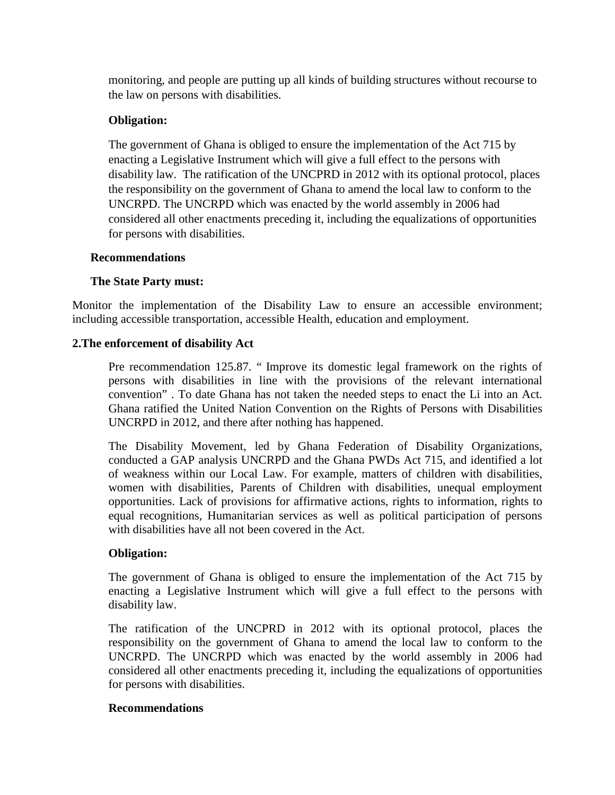monitoring, and people are putting up all kinds of building structures without recourse to the law on persons with disabilities.

## **Obligation:**

The government of Ghana is obliged to ensure the implementation of the Act 715 by enacting a Legislative Instrument which will give a full effect to the persons with disability law. The ratification of the UNCPRD in 2012 with its optional protocol, places the responsibility on the government of Ghana to amend the local law to conform to the UNCRPD. The UNCRPD which was enacted by the world assembly in 2006 had considered all other enactments preceding it, including the equalizations of opportunities for persons with disabilities.

#### **Recommendations**

## **The State Party must:**

Monitor the implementation of the Disability Law to ensure an accessible environment; including accessible transportation, accessible Health, education and employment.

## **2.The enforcement of disability Act**

Pre recommendation 125.87. " Improve its domestic legal framework on the rights of persons with disabilities in line with the provisions of the relevant international convention" . To date Ghana has not taken the needed steps to enact the Li into an Act. Ghana ratified the United Nation Convention on the Rights of Persons with Disabilities UNCRPD in 2012, and there after nothing has happened.

The Disability Movement, led by Ghana Federation of Disability Organizations, conducted a GAP analysis UNCRPD and the Ghana PWDs Act 715, and identified a lot of weakness within our Local Law. For example, matters of children with disabilities, women with disabilities, Parents of Children with disabilities, unequal employment opportunities. Lack of provisions for affirmative actions, rights to information, rights to equal recognitions, Humanitarian services as well as political participation of persons with disabilities have all not been covered in the Act.

## **Obligation:**

The government of Ghana is obliged to ensure the implementation of the Act 715 by enacting a Legislative Instrument which will give a full effect to the persons with disability law.

The ratification of the UNCPRD in 2012 with its optional protocol, places the responsibility on the government of Ghana to amend the local law to conform to the UNCRPD. The UNCRPD which was enacted by the world assembly in 2006 had considered all other enactments preceding it, including the equalizations of opportunities for persons with disabilities.

## **Recommendations**